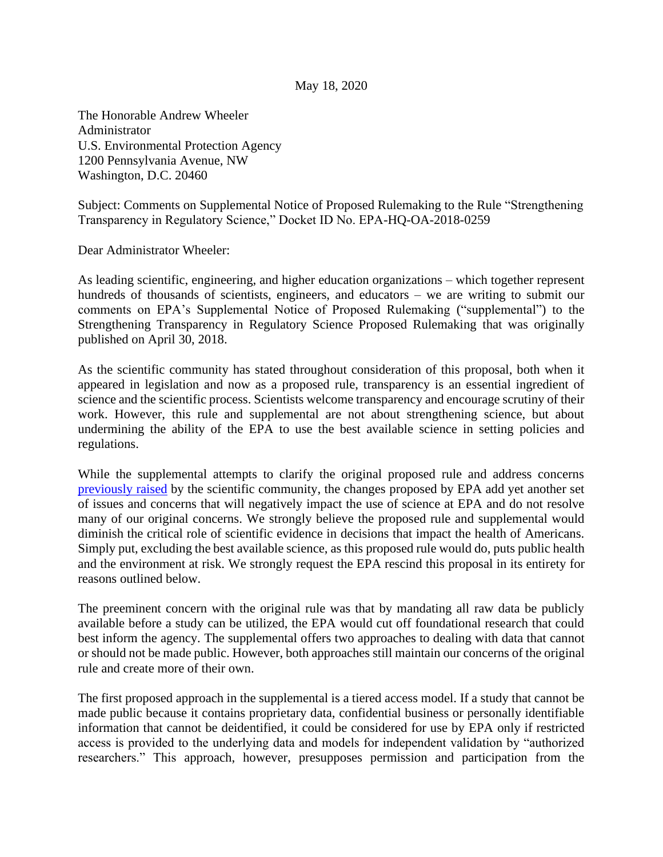## May 18, 2020

The Honorable Andrew Wheeler Administrator U.S. Environmental Protection Agency 1200 Pennsylvania Avenue, NW Washington, D.C. 20460

Subject: Comments on Supplemental Notice of Proposed Rulemaking to the Rule "Strengthening Transparency in Regulatory Science," Docket ID No. EPA-HQ-OA-2018-0259

Dear Administrator Wheeler:

As leading scientific, engineering, and higher education organizations – which together represent hundreds of thousands of scientists, engineers, and educators – we are writing to submit our comments on EPA's Supplemental Notice of Proposed Rulemaking ("supplemental") to the Strengthening Transparency in Regulatory Science Proposed Rulemaking that was originally published on April 30, 2018.

As the scientific community has stated throughout consideration of this proposal, both when it appeared in legislation and now as a proposed rule, transparency is an essential ingredient of science and the scientific process. Scientists welcome transparency and encourage scrutiny of their work. However, this rule and supplemental are not about strengthening science, but about undermining the ability of the EPA to use the best available science in setting policies and regulations.

While the supplemental attempts to clarify the original proposed rule and address concerns [previously raised](https://www.aaas.org/sites/default/files/s3fs-public/EPA%20Transparency%20Rule%20FINAL.pdf) by the scientific community, the changes proposed by EPA add yet another set of issues and concerns that will negatively impact the use of science at EPA and do not resolve many of our original concerns. We strongly believe the proposed rule and supplemental would diminish the critical role of scientific evidence in decisions that impact the health of Americans. Simply put, excluding the best available science, as this proposed rule would do, puts public health and the environment at risk. We strongly request the EPA rescind this proposal in its entirety for reasons outlined below.

The preeminent concern with the original rule was that by mandating all raw data be publicly available before a study can be utilized, the EPA would cut off foundational research that could best inform the agency. The supplemental offers two approaches to dealing with data that cannot or should not be made public. However, both approaches still maintain our concerns of the original rule and create more of their own.

The first proposed approach in the supplemental is a tiered access model. If a study that cannot be made public because it contains proprietary data, confidential business or personally identifiable information that cannot be deidentified, it could be considered for use by EPA only if restricted access is provided to the underlying data and models for independent validation by "authorized researchers." This approach, however, presupposes permission and participation from the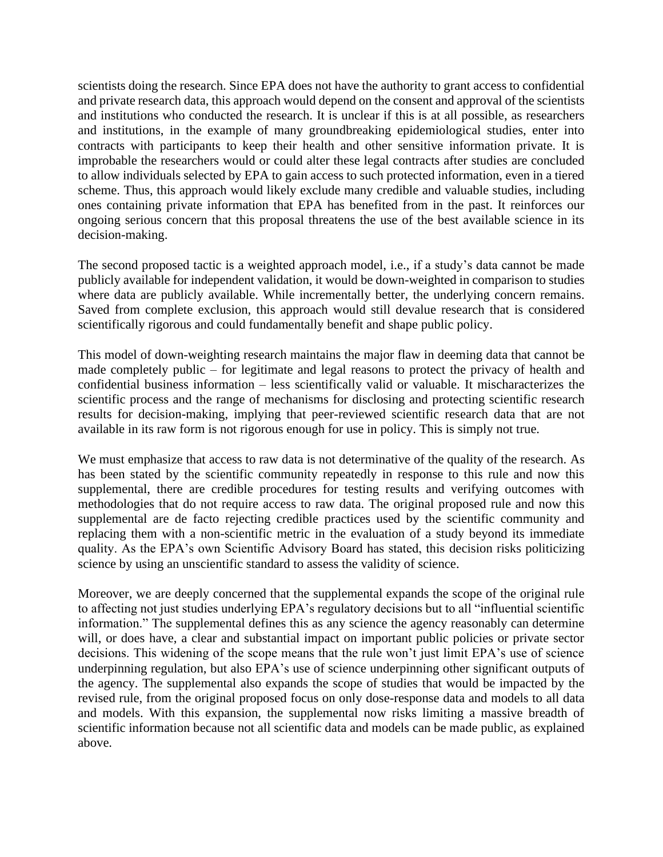scientists doing the research. Since EPA does not have the authority to grant access to confidential and private research data, this approach would depend on the consent and approval of the scientists and institutions who conducted the research. It is unclear if this is at all possible, as researchers and institutions, in the example of many groundbreaking epidemiological studies, enter into contracts with participants to keep their health and other sensitive information private. It is improbable the researchers would or could alter these legal contracts after studies are concluded to allow individuals selected by EPA to gain access to such protected information, even in a tiered scheme. Thus, this approach would likely exclude many credible and valuable studies, including ones containing private information that EPA has benefited from in the past. It reinforces our ongoing serious concern that this proposal threatens the use of the best available science in its decision-making.

The second proposed tactic is a weighted approach model, i.e., if a study's data cannot be made publicly available for independent validation, it would be down-weighted in comparison to studies where data are publicly available. While incrementally better, the underlying concern remains. Saved from complete exclusion, this approach would still devalue research that is considered scientifically rigorous and could fundamentally benefit and shape public policy.

This model of down-weighting research maintains the major flaw in deeming data that cannot be made completely public – for legitimate and legal reasons to protect the privacy of health and confidential business information – less scientifically valid or valuable. It mischaracterizes the scientific process and the range of mechanisms for disclosing and protecting scientific research results for decision-making, implying that peer-reviewed scientific research data that are not available in its raw form is not rigorous enough for use in policy. This is simply not true.

We must emphasize that access to raw data is not determinative of the quality of the research. As has been stated by the scientific community repeatedly in response to this rule and now this supplemental, there are credible procedures for testing results and verifying outcomes with methodologies that do not require access to raw data. The original proposed rule and now this supplemental are de facto rejecting credible practices used by the scientific community and replacing them with a non-scientific metric in the evaluation of a study beyond its immediate quality. As the EPA's own Scientific Advisory Board has stated, this decision risks politicizing science by using an unscientific standard to assess the validity of science.

Moreover, we are deeply concerned that the supplemental expands the scope of the original rule to affecting not just studies underlying EPA's regulatory decisions but to all "influential scientific information." The supplemental defines this as any science the agency reasonably can determine will, or does have, a clear and substantial impact on important public policies or private sector decisions. This widening of the scope means that the rule won't just limit EPA's use of science underpinning regulation, but also EPA's use of science underpinning other significant outputs of the agency. The supplemental also expands the scope of studies that would be impacted by the revised rule, from the original proposed focus on only dose-response data and models to all data and models. With this expansion, the supplemental now risks limiting a massive breadth of scientific information because not all scientific data and models can be made public, as explained above.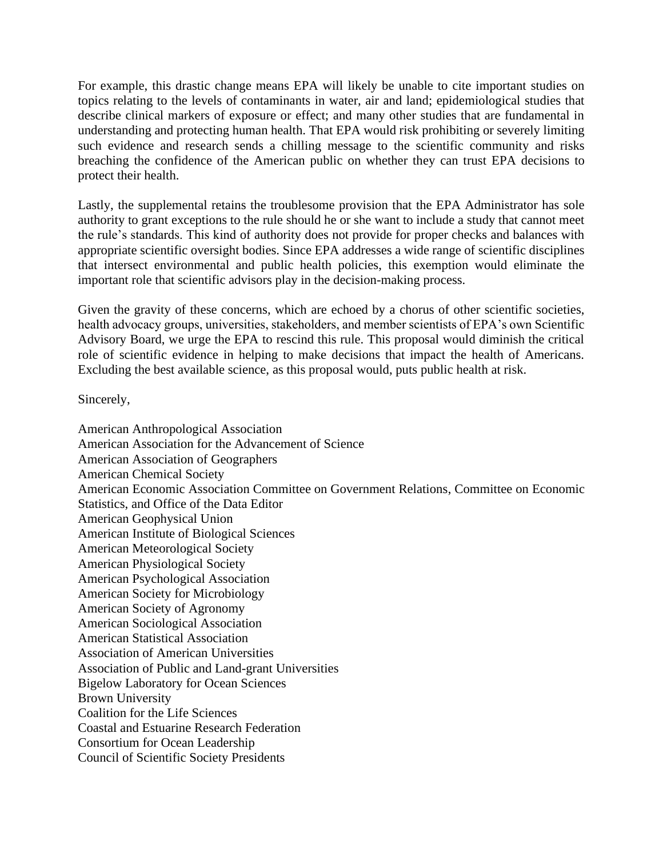For example, this drastic change means EPA will likely be unable to cite important studies on topics relating to the levels of contaminants in water, air and land; epidemiological studies that describe clinical markers of exposure or effect; and many other studies that are fundamental in understanding and protecting human health. That EPA would risk prohibiting or severely limiting such evidence and research sends a chilling message to the scientific community and risks breaching the confidence of the American public on whether they can trust EPA decisions to protect their health.

Lastly, the supplemental retains the troublesome provision that the EPA Administrator has sole authority to grant exceptions to the rule should he or she want to include a study that cannot meet the rule's standards. This kind of authority does not provide for proper checks and balances with appropriate scientific oversight bodies. Since EPA addresses a wide range of scientific disciplines that intersect environmental and public health policies, this exemption would eliminate the important role that scientific advisors play in the decision-making process.

Given the gravity of these concerns, which are echoed by a chorus of other scientific societies, health advocacy groups, universities, stakeholders, and member scientists of EPA's own Scientific Advisory Board, we urge the EPA to rescind this rule. This proposal would diminish the critical role of scientific evidence in helping to make decisions that impact the health of Americans. Excluding the best available science, as this proposal would, puts public health at risk.

Sincerely,

American Anthropological Association American Association for the Advancement of Science American Association of Geographers American Chemical Society American Economic Association Committee on Government Relations, Committee on Economic Statistics, and Office of the Data Editor American Geophysical Union American Institute of Biological Sciences American Meteorological Society American Physiological Society American Psychological Association American Society for Microbiology American Society of Agronomy American Sociological Association American Statistical Association Association of American Universities Association of Public and Land-grant Universities Bigelow Laboratory for Ocean Sciences Brown University Coalition for the Life Sciences Coastal and Estuarine Research Federation Consortium for Ocean Leadership Council of Scientific Society Presidents